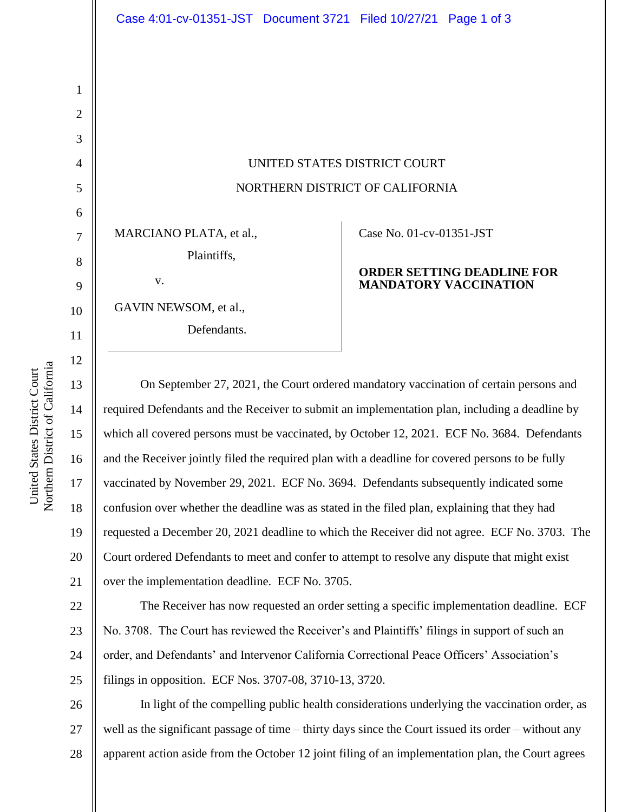UNITED STATES DISTRICT COURT NORTHERN DISTRICT OF CALIFORNIA

MARCIANO PLATA, et al.,

Plaintiffs,

GAVIN NEWSOM, et al.,

v.

Defendants.

## Case No. [01-cv-01351-JST](https://ecf.cand.uscourts.gov/cgi-bin/DktRpt.pl?76)

## **ORDER SETTING DEADLINE FOR MANDATORY VACCINATION**

On September 27, 2021, the Court ordered mandatory vaccination of certain persons and required Defendants and the Receiver to submit an implementation plan, including a deadline by which all covered persons must be vaccinated, by October 12, 2021. ECF No. 3684. Defendants and the Receiver jointly filed the required plan with a deadline for covered persons to be fully vaccinated by November 29, 2021. ECF No. 3694. Defendants subsequently indicated some confusion over whether the deadline was as stated in the filed plan, explaining that they had requested a December 20, 2021 deadline to which the Receiver did not agree. ECF No. 3703. The Court ordered Defendants to meet and confer to attempt to resolve any dispute that might exist over the implementation deadline. ECF No. 3705.

22 23 24 25 The Receiver has now requested an order setting a specific implementation deadline. ECF No. 3708. The Court has reviewed the Receiver's and Plaintiffs' filings in support of such an order, and Defendants' and Intervenor California Correctional Peace Officers' Association's filings in opposition. ECF Nos. 3707-08, 3710-13, 3720.

26 27 28 In light of the compelling public health considerations underlying the vaccination order, as well as the significant passage of time – thirty days since the Court issued its order – without any apparent action aside from the October 12 joint filing of an implementation plan, the Court agrees

1

2

3

4

5

6

7

8

9

10

11

12

13

14

15

16

17

18

19

20

21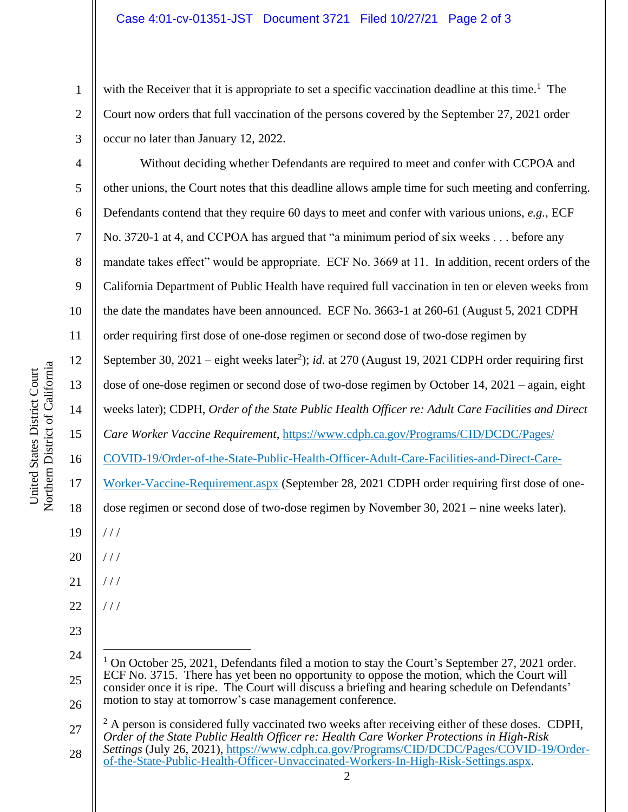## Case 4:01-cv-01351-JST Document 3721 Filed 10/27/21 Page 2 of 3

with the Receiver that it is appropriate to set a specific vaccination deadline at this time.<sup>1</sup> The Court now orders that full vaccination of the persons covered by the September 27, 2021 order occur no later than January 12, 2022.

4 5 6 7 8 9 10 11 12 13 14 15 16 17 18 20 21 22 Without deciding whether Defendants are required to meet and confer with CCPOA and other unions, the Court notes that this deadline allows ample time for such meeting and conferring. Defendants contend that they require 60 days to meet and confer with various unions, *e.g.*, ECF No. 3720-1 at 4, and CCPOA has argued that "a minimum period of six weeks . . . before any mandate takes effect" would be appropriate. ECF No. 3669 at 11. In addition, recent orders of the California Department of Public Health have required full vaccination in ten or eleven weeks from the date the mandates have been announced. ECF No. 3663-1 at 260-61 (August 5, 2021 CDPH order requiring first dose of one-dose regimen or second dose of two-dose regimen by September 30, 2021 – eight weeks later<sup>2</sup>); *id.* at 270 (August 19, 2021 CDPH order requiring first dose of one-dose regimen or second dose of two-dose regimen by October 14, 2021 – again, eight weeks later); CDPH, *Order of the State Public Health Officer re: Adult Care Facilities and Direct Care Worker Vaccine Requirement*, [https://www.cdph.ca.gov/Programs/CID/DCDC/Pages/](https://www.cdph.ca.gov/Programs/CID/DCDC/Pages/COVID-19/Order-of-the-State-Public-Health-Officer-Adult-Care-Facilities-and-Direct-Care-Worker-Vaccine-Requirement.aspx) [COVID-19/Order-of-the-State-Public-Health-Officer-Adult-Care-Facilities-and-Direct-Care-](https://www.cdph.ca.gov/Programs/CID/DCDC/Pages/COVID-19/Order-of-the-State-Public-Health-Officer-Adult-Care-Facilities-and-Direct-Care-Worker-Vaccine-Requirement.aspx)[Worker-Vaccine-Requirement.aspx](https://www.cdph.ca.gov/Programs/CID/DCDC/Pages/COVID-19/Order-of-the-State-Public-Health-Officer-Adult-Care-Facilities-and-Direct-Care-Worker-Vaccine-Requirement.aspx) (September 28, 2021 CDPH order requiring first dose of onedose regimen or second dose of two-dose regimen by November 30, 2021 – nine weeks later). / / /  $//$ / / / / / /

27 28  $^{2}$  A person is considered fully vaccinated two weeks after receiving either of these doses. CDPH, *Order of the State Public Health Officer re: Health Care Worker Protections in High-Risk Settings* (July 26, 2021), [https://www.cdph.ca.gov/Programs/CID/DCDC/Pages/COVID-19/Order](https://www.cdph.ca.gov/Programs/CID/DCDC/Pages/COVID-19/Order-of-the-State-Public-Health-Officer-Unvaccinated-Workers-In-High-Risk-Settings.aspx)[of-the-State-Public-Health-Officer-Unvaccinated-Workers-In-High-Risk-Settings.aspx.](https://www.cdph.ca.gov/Programs/CID/DCDC/Pages/COVID-19/Order-of-the-State-Public-Health-Officer-Unvaccinated-Workers-In-High-Risk-Settings.aspx)

19

23

1

2

3

<sup>24</sup> 25 26 <sup>1</sup> On October 25, 2021, Defendants filed a motion to stay the Court's September 27, 2021 order. ECF No. 3715. There has yet been no opportunity to oppose the motion, which the Court will consider once it is ripe. The Court will discuss a briefing and hearing schedule on Defendants' motion to stay at tomorrow's case management conference.